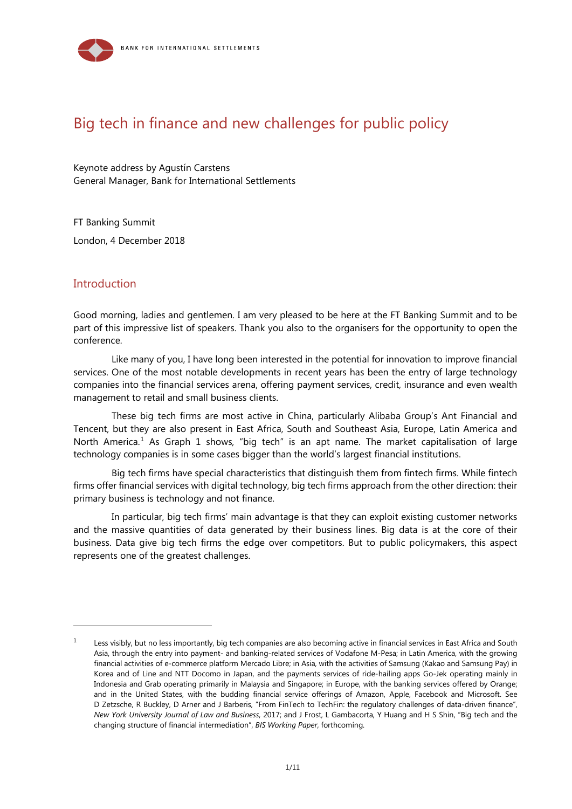

# Big tech in finance and new challenges for public policy

Keynote address by Agustín Carstens General Manager, Bank for International Settlements

FT Banking Summit London, 4 December 2018

#### **Introduction**

1

Good morning, ladies and gentlemen. I am very pleased to be here at the FT Banking Summit and to be part of this impressive list of speakers. Thank you also to the organisers for the opportunity to open the conference.

Like many of you, I have long been interested in the potential for innovation to improve financial services. One of the most notable developments in recent years has been the entry of large technology companies into the financial services arena, offering payment services, credit, insurance and even wealth management to retail and small business clients.

These big tech firms are most active in China, particularly Alibaba Group's Ant Financial and Tencent, but they are also present in East Africa, South and Southeast Asia, Europe, Latin America and North America.<sup>1</sup> As Graph [1](#page-0-0) shows, "big tech" is an apt name. The market capitalisation of large technology companies is in some cases bigger than the world's largest financial institutions.

Big tech firms have special characteristics that distinguish them from fintech firms. While fintech firms offer financial services with digital technology, big tech firms approach from the other direction: their primary business is technology and not finance.

In particular, big tech firms' main advantage is that they can exploit existing customer networks and the massive quantities of data generated by their business lines. Big data is at the core of their business. Data give big tech firms the edge over competitors. But to public policymakers, this aspect represents one of the greatest challenges.

<span id="page-0-0"></span> $1 -$  Less visibly, but no less importantly, big tech companies are also becoming active in financial services in East Africa and South Asia, through the entry into payment- and banking-related services of Vodafone M-Pesa; in Latin America, with the growing financial activities of e-commerce platform Mercado Libre; in Asia, with the activities of Samsung (Kakao and Samsung Pay) in Korea and of Line and NTT Docomo in Japan, and the payments services of ride-hailing apps Go-Jek operating mainly in Indonesia and Grab operating primarily in Malaysia and Singapore; in Europe, with the banking services offered by Orange; and in the United States, with the budding financial service offerings of Amazon, Apple, Facebook and Microsoft. See D Zetzsche, R Buckley, D Arner and J Barberis, "From FinTech to TechFin: the regulatory challenges of data-driven finance", *New York University Journal of Law and Business*, 2017; and J Frost, L Gambacorta, Y Huang and H S Shin, "Big tech and the changing structure of financial intermediation", *BIS Working Paper*, forthcoming.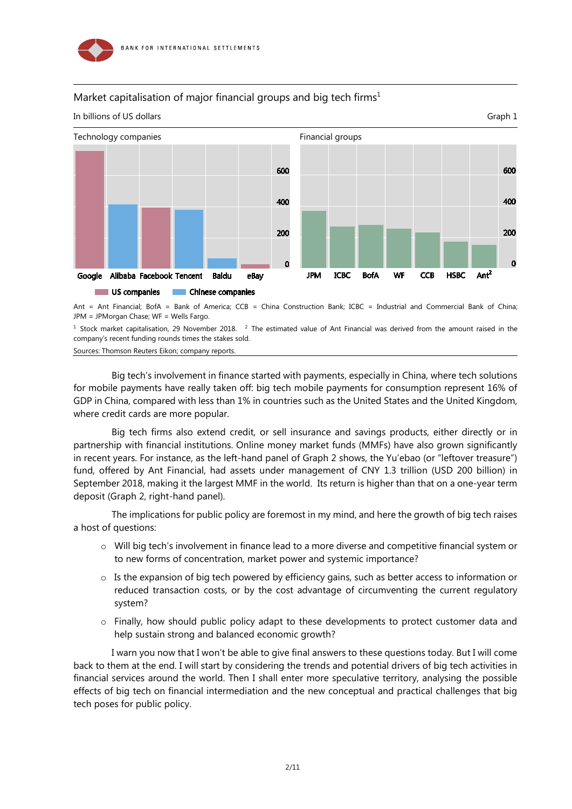

### Market capitalisation of major financial groups and big tech firms<sup>1</sup>



Ant = Ant Financial; BofA = Bank of America; CCB = China Construction Bank; ICBC = Industrial and Commercial Bank of China; JPM = JPMorgan Chase; WF = Wells Fargo.

 $^1$  Stock market capitalisation, 29 November 2018.  $^2$  The estimated value of Ant Financial was derived from the amount raised in the company's recent funding rounds times the stakes sold.

Sources: Thomson Reuters Eikon; company reports.

Big tech's involvement in finance started with payments, especially in China, where tech solutions for mobile payments have really taken off: big tech mobile payments for consumption represent 16% of GDP in China, compared with less than 1% in countries such as the United States and the United Kingdom, where credit cards are more popular.

Big tech firms also extend credit, or sell insurance and savings products, either directly or in partnership with financial institutions. Online money market funds (MMFs) have also grown significantly in recent years. For instance, as the left-hand panel of Graph 2 shows, the Yu'ebao (or "leftover treasure") fund, offered by Ant Financial, had assets under management of CNY 1.3 trillion (USD 200 billion) in September 2018, making it the largest MMF in the world. Its return is higher than that on a one-year term deposit (Graph 2, right-hand panel).

The implications for public policy are foremost in my mind, and here the growth of big tech raises a host of questions:

- o Will big tech's involvement in finance lead to a more diverse and competitive financial system or to new forms of concentration, market power and systemic importance?
- o Is the expansion of big tech powered by efficiency gains, such as better access to information or reduced transaction costs, or by the cost advantage of circumventing the current regulatory system?
- o Finally, how should public policy adapt to these developments to protect customer data and help sustain strong and balanced economic growth?

I warn you now that I won't be able to give final answers to these questions today. But I will come back to them at the end. I will start by considering the trends and potential drivers of big tech activities in financial services around the world. Then I shall enter more speculative territory, analysing the possible effects of big tech on financial intermediation and the new conceptual and practical challenges that big tech poses for public policy.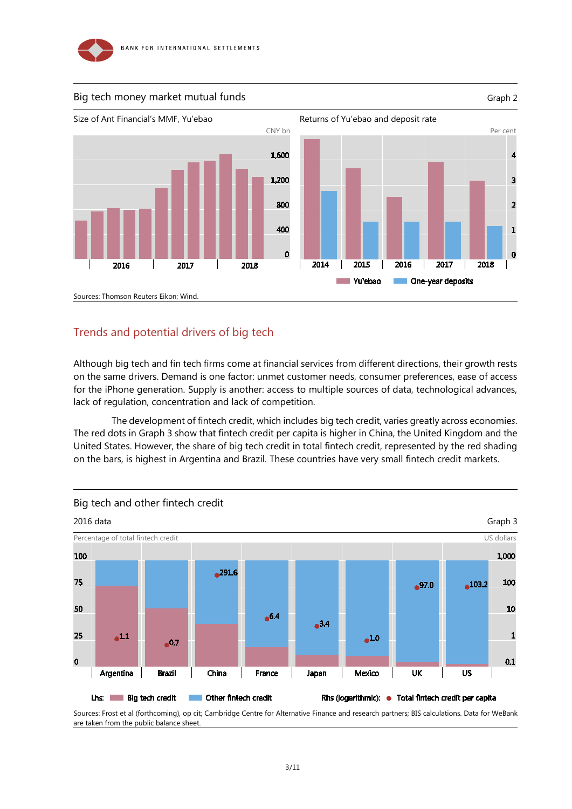



## Trends and potential drivers of big tech

Although big tech and fin tech firms come at financial services from different directions, their growth rests on the same drivers. Demand is one factor: unmet customer needs, consumer preferences, ease of access for the iPhone generation. Supply is another: access to multiple sources of data, technological advances, lack of regulation, concentration and lack of competition.

The development of fintech credit, which includes big tech credit, varies greatly across economie*s*. The red dots in Graph 3 show that fintech credit per capita is higher in China, the United Kingdom and the United States. However, the share of big tech credit in total fintech credit, represented by the red shading on the bars, is highest in Argentina and Brazil. These countries have very small fintech credit markets.



Sources: Frost et al (forthcoming), op cit; Cambridge Centre for Alternative Finance and research partners; BIS calculations. Data for WeBank are taken from the public balance sheet.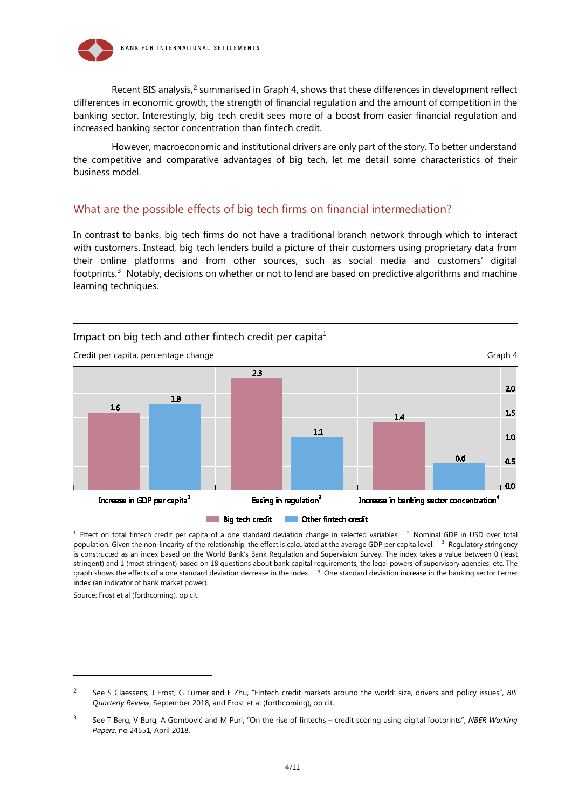

Recent BIS analysis,<sup>[2](#page-3-0)</sup> summarised in Graph 4, shows that these differences in development reflect differences in economic growth, the strength of financial regulation and the amount of competition in the banking sector. Interestingly, big tech credit sees more of a boost from easier financial regulation and increased banking sector concentration than fintech credit.

However, macroeconomic and institutional drivers are only part of the story. To better understand the competitive and comparative advantages of big tech, let me detail some characteristics of their business model.

### What are the possible effects of big tech firms on financial intermediation?

In contrast to banks, big tech firms do not have a traditional branch network through which to interact with customers. Instead, big tech lenders build a picture of their customers using proprietary data from their online platforms and from other sources, such as social media and customers' digital footprints.<sup>[3](#page-3-1)</sup> Notably, decisions on whether or not to lend are based on predictive algorithms and machine learning techniques.



 $1$  Effect on total fintech credit per capita of a one standard deviation change in selected variables.  $2$  Nominal GDP in USD over total population. Given the non-linearity of the relationship, the effect is calculated at the average GDP per capita level. <sup>3</sup> Regulatory stringency is constructed as an index based on the World Bank's Bank Regulation and Supervision Survey. The index takes a value between 0 (least stringent) and 1 (most stringent) based on 18 questions about bank capital requirements, the legal powers of supervisory agencies, etc. The graph shows the effects of a one standard deviation decrease in the index. <sup>4</sup> One standard deviation increase in the banking sector Lerner index (an indicator of bank market power).

Source: Frost et al (forthcoming), op cit.

-

<span id="page-3-0"></span><sup>2</sup> See S Claessens, J Frost, G Turner and F Zhu, "Fintech credit markets around the world: size, drivers and policy issues", *BIS Quarterly Review*, September 2018; and Frost et al (forthcoming), op cit.

<span id="page-3-1"></span><sup>3</sup> See T Berg, V Burg, A Gombović and M Puri, "On the rise of fintechs – credit scoring using digital footprints", *NBER Working Papers*, no 24551, April 2018.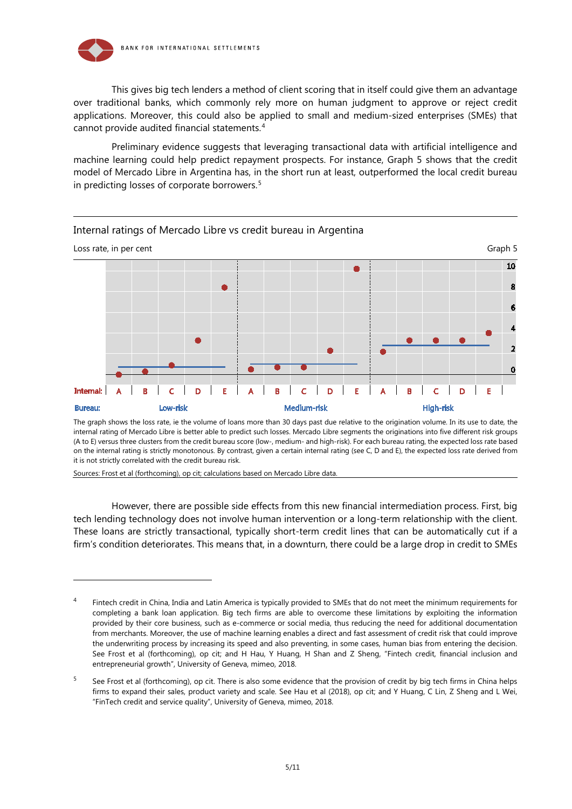

This gives big tech lenders a method of client scoring that in itself could give them an advantage over traditional banks, which commonly rely more on human judgment to approve or reject credit applications. Moreover, this could also be applied to small and medium-sized enterprises (SMEs) that cannot provide audited financial statements.[4](#page-4-0)

Preliminary evidence suggests that leveraging transactional data with artificial intelligence and machine learning could help predict repayment prospects. For instance, Graph 5 shows that the credit model of Mercado Libre in Argentina has, in the short run at least, outperformed the local credit bureau in predicting losses of corporate borrowers.[5](#page-4-1)



Internal ratings of Mercado Libre vs credit bureau in Argentina

The graph shows the loss rate, ie the volume of loans more than 30 days past due relative to the origination volume. In its use to date, the internal rating of Mercado Libre is better able to predict such losses. Mercado Libre segments the originations into five different risk groups (A to E) versus three clusters from the credit bureau score (low-, medium- and high-risk). For each bureau rating, the expected loss rate based on the internal rating is strictly monotonous. By contrast, given a certain internal rating (see C, D and E), the expected loss rate derived from it is not strictly correlated with the credit bureau risk.

Sources: Frost et al (forthcoming), op cit; calculations based on Mercado Libre data.

-

However, there are possible side effects from this new financial intermediation process. First, big tech lending technology does not involve human intervention or a long-term relationship with the client. These loans are strictly transactional, typically short-term credit lines that can be automatically cut if a firm's condition deteriorates. This means that, in a downturn, there could be a large drop in credit to SMEs

<span id="page-4-0"></span>Fintech credit in China, India and Latin America is typically provided to SMEs that do not meet the minimum requirements for completing a bank loan application. Big tech firms are able to overcome these limitations by exploiting the information provided by their core business, such as e-commerce or social media, thus reducing the need for additional documentation from merchants. Moreover, the use of machine learning enables a direct and fast assessment of credit risk that could improve the underwriting process by increasing its speed and also preventing, in some cases, human bias from entering the decision. See Frost et al (forthcoming), op cit; and H Hau, Y Huang, H Shan and Z Sheng, "Fintech credit, financial inclusion and entrepreneurial growth", University of Geneva, mimeo, 2018.

<span id="page-4-1"></span> $5$  See Frost et al (forthcoming), op cit. There is also some evidence that the provision of credit by big tech firms in China helps firms to expand their sales, product variety and scale. See Hau et al (2018), op cit; and Y Huang, C Lin, Z Sheng and L Wei, "FinTech credit and service quality", University of Geneva, mimeo, 2018.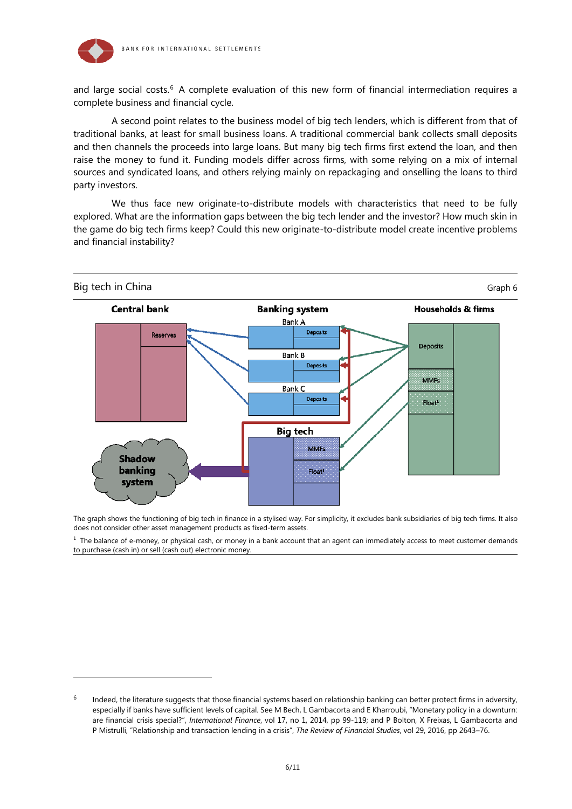

1

and large social costs.<sup>6</sup> A complete evaluation of this new form of financial intermediation requires a complete business and financial cycle.

A second point relates to the business model of big tech lenders, which is different from that of traditional banks, at least for small business loans. A traditional commercial bank collects small deposits and then channels the proceeds into large loans. But many big tech firms first extend the loan, and then raise the money to fund it. Funding models differ across firms, with some relying on a mix of internal sources and syndicated loans, and others relying mainly on repackaging and onselling the loans to third party investors.

We thus face new originate-to-distribute models with characteristics that need to be fully explored. What are the information gaps between the big tech lender and the investor? How much skin in the game do big tech firms keep? Could this new originate-to-distribute model create incentive problems and financial instability?



The graph shows the functioning of big tech in finance in a stylised way. For simplicity, it excludes bank subsidiaries of big tech firms. It also does not consider other asset management products as fixed-term assets.

 $<sup>1</sup>$  The balance of e-money, or physical cash, or money in a bank account that an agent can immediately access to meet customer demands</sup> to purchase (cash in) or sell (cash out) electronic money.

<span id="page-5-0"></span> $6$  Indeed, the literature suggests that those financial systems based on relationship banking can better protect firms in adversity, especially if banks have sufficient levels of capital. See M Bech, L Gambacorta and E Kharroubi, "Monetary policy in a downturn: are financial crisis special?", *International Finance*, vol 17, no 1, 2014, pp 99-119; and P Bolton, X Freixas, L Gambacorta and P Mistrulli, "Relationship and transaction lending in a crisis", *The Review of Financial Studies*, vol 29, 2016, pp 2643–76.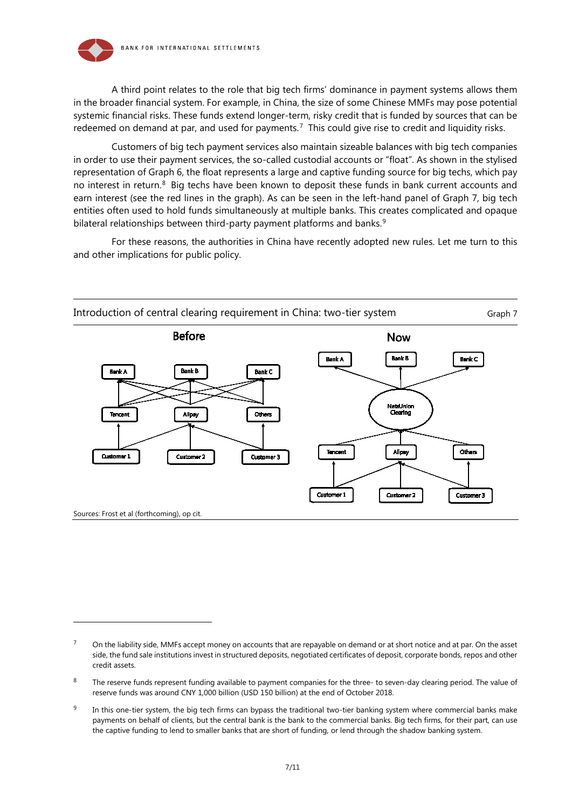

-

A third point relates to the role that big tech firms' dominance in payment systems allows them in the broader financial system. For example, in China, the size of some Chinese MMFs may pose potential systemic financial risks. These funds extend longer-term, risky credit that is funded by sources that can be redeemed on demand at par, and used for payments.<sup>[7](#page-6-0)</sup> This could give rise to credit and liquidity risks.

Customers of big tech payment services also maintain sizeable balances with big tech companies in order to use their payment services, the so-called custodial accounts or "float". As shown in the stylised representation of Graph 6, the float represents a large and captive funding source for big techs, which pay no interest in return.[8](#page-6-1) Big techs have been known to deposit these funds in bank current accounts and earn interest (see the red lines in the graph). As can be seen in the left-hand panel of Graph 7, big tech entities often used to hold funds simultaneously at multiple banks. This creates complicated and opaque bilateral relationships between third-party payment platforms and banks.<sup>[9](#page-6-2)</sup>

For these reasons, the authorities in China have recently adopted new rules. Let me turn to this and other implications for public policy.



<span id="page-6-0"></span><sup>7</sup> On the liability side, MMFs accept money on accounts that are repayable on demand or at short notice and at par. On the asset side, the fund sale institutions invest in structured deposits, negotiated certificates of deposit, corporate bonds, repos and other credit assets.

<span id="page-6-1"></span><sup>&</sup>lt;sup>8</sup> The reserve funds represent funding available to payment companies for the three- to seven-day clearing period. The value of reserve funds was around CNY 1,000 billion (USD 150 billion) at the end of October 2018.

<span id="page-6-2"></span> $9$  In this one-tier system, the big tech firms can bypass the traditional two-tier banking system where commercial banks make payments on behalf of clients, but the central bank is the bank to the commercial banks. Big tech firms, for their part, can use the captive funding to lend to smaller banks that are short of funding, or lend through the shadow banking system.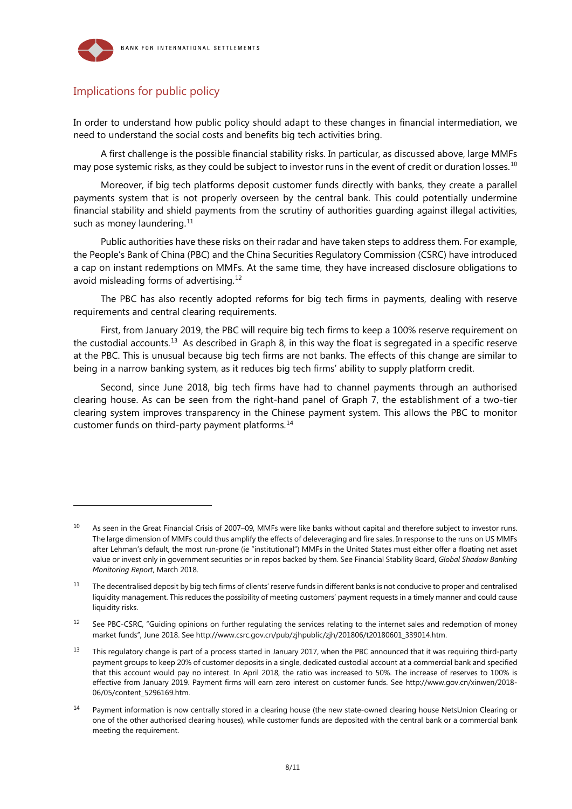

# Implications for public policy

-

In order to understand how public policy should adapt to these changes in financial intermediation, we need to understand the social costs and benefits big tech activities bring.

A first challenge is the possible financial stability risks. In particular, as discussed above, large MMFs may pose systemic risks, as they could be subject to investor runs in the event of credit or duration losses.<sup>[10](#page-7-0)</sup>

Moreover, if big tech platforms deposit customer funds directly with banks, they create a parallel payments system that is not properly overseen by the central bank. This could potentially undermine financial stability and shield payments from the scrutiny of authorities guarding against illegal activities, such as money laundering. $11$ 

Public authorities have these risks on their radar and have taken steps to address them. For example, the People's Bank of China (PBC) and the China Securities Regulatory Commission (CSRC) have introduced a cap on instant redemptions on MMFs. At the same time, they have increased disclosure obligations to avoid misleading forms of advertising. [12](#page-7-2)

The PBC has also recently adopted reforms for big tech firms in payments, dealing with reserve requirements and central clearing requirements.

First, from January 2019, the PBC will require big tech firms to keep a 100% reserve requirement on the custodial accounts.<sup>13</sup> As described in Graph 8, in this way the float is segregated in a specific reserve at the PBC. This is unusual because big tech firms are not banks. The effects of this change are similar to being in a narrow banking system, as it reduces big tech firms' ability to supply platform credit.

Second, since June 2018, big tech firms have had to channel payments through an authorised clearing house. As can be seen from the right-hand panel of Graph 7, the establishment of a two-tier clearing system improves transparency in the Chinese payment system. This allows the PBC to monitor customer funds on third-party payment platforms.[14](#page-7-4)

<span id="page-7-0"></span> $10$  As seen in the Great Financial Crisis of 2007–09, MMFs were like banks without capital and therefore subject to investor runs. The large dimension of MMFs could thus amplify the effects of deleveraging and fire sales. In response to the runs on US MMFs after Lehman's default, the most run-prone (ie "institutional") MMFs in the United States must either offer a floating net asset value or invest only in government securities or in repos backed by them. See Financial Stability Board, *Global Shadow Banking Monitoring Report*, March 2018.

<span id="page-7-1"></span> $11$  The decentralised deposit by big tech firms of clients' reserve funds in different banks is not conducive to proper and centralised liquidity management. This reduces the possibility of meeting customers' payment requests in a timely manner and could cause liquidity risks.

<span id="page-7-2"></span><sup>&</sup>lt;sup>12</sup> See PBC-CSRC, "Guiding opinions on further regulating the services relating to the internet sales and redemption of money [market funds"](http://www.csrc.gov.cn/pub/zjhpublic/zjh/201806/t20180601_339014.htm), June 2018. See http://www.csrc.gov.cn/pub/zjhpublic/zjh/201806/t20180601\_339014.htm.

<span id="page-7-3"></span> $13$  This regulatory change is part of a process started in January 2017, when the PBC announced that it was requiring third-party payment groups to keep 20% of customer deposits in a single, dedicated custodial account at a commercial bank and specified that this account would pay no interest. In April 2018, the ratio was increased to 50%. The increase of reserves to 100% is effective from January 2019. Payment firms will earn zero interest on customer funds. See [http://www.gov.cn/xinwen/2018-](http://www.gov.cn/xinwen/2018-06/05/content_5296169.htm) [06/05/content\\_5296169.htm.](http://www.gov.cn/xinwen/2018-06/05/content_5296169.htm) 

<span id="page-7-4"></span><sup>&</sup>lt;sup>14</sup> Payment information is now centrally stored in a clearing house (the new state-owned clearing house NetsUnion Clearing or one of the other authorised clearing houses), while customer funds are deposited with the central bank or a commercial bank meeting the requirement.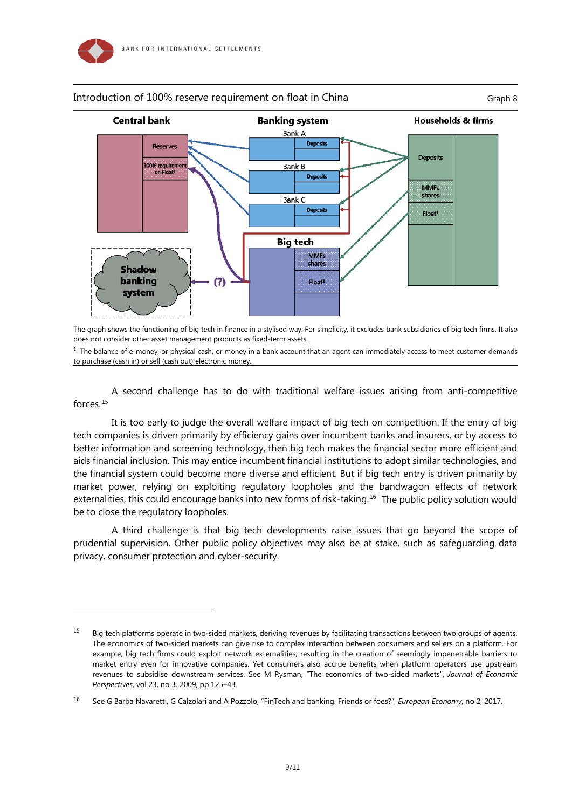

-

#### Introduction of 100% reserve requirement on float in China Graph 8 Graph 8

**Central bank Banking system** Households & firms Bank A **Deposits** Reserves Deposits 100% requireme Bank B on Float<sup>1</sup> Deposits **MMFs** shares Bank C Deposits  $Float<sup>1</sup>$ **Big tech MMFs** shares **Shadow** banking  $(?)$  $Fl$ nat<sup>1</sup> system

The graph shows the functioning of big tech in finance in a stylised way. For simplicity, it excludes bank subsidiaries of big tech firms. It also does not consider other asset management products as fixed-term assets.

 $<sup>1</sup>$  The balance of e-money, or physical cash, or money in a bank account that an agent can immediately access to meet customer demands</sup> to purchase (cash in) or sell (cash out) electronic money.

A second challenge has to do with traditional welfare issues arising from anti-competitive forces.[15](#page-8-0)

It is too early to judge the overall welfare impact of big tech on competition. If the entry of big tech companies is driven primarily by efficiency gains over incumbent banks and insurers, or by access to better information and screening technology, then big tech makes the financial sector more efficient and aids financial inclusion. This may entice incumbent financial institutions to adopt similar technologies, and the financial system could become more diverse and efficient. But if big tech entry is driven primarily by market power, relying on exploiting regulatory loopholes and the bandwagon effects of network externalities, this could encourage banks into new forms of risk-taking.<sup>16</sup> The public policy solution would be to close the regulatory loopholes.

A third challenge is that big tech developments raise issues that go beyond the scope of prudential supervision. Other public policy objectives may also be at stake, such as safeguarding data privacy, consumer protection and cyber-security.

<span id="page-8-0"></span><sup>&</sup>lt;sup>15</sup> Big tech platforms operate in two-sided markets, deriving revenues by facilitating transactions between two groups of agents. The economics of two-sided markets can give rise to complex interaction between consumers and sellers on a platform. For example, big tech firms could exploit network externalities, resulting in the creation of seemingly impenetrable barriers to market entry even for innovative companies. Yet consumers also accrue benefits when platform operators use upstream revenues to subsidise downstream services. See M Rysman, "The economics of two-sided markets", *Journal of Economic Perspectives*, vol 23, no 3, 2009, pp 125–43.

<span id="page-8-1"></span><sup>16</sup> See G Barba Navaretti, G Calzolari and A Pozzolo, "FinTech and banking. Friends or foes?", *European Economy*, no 2, 2017.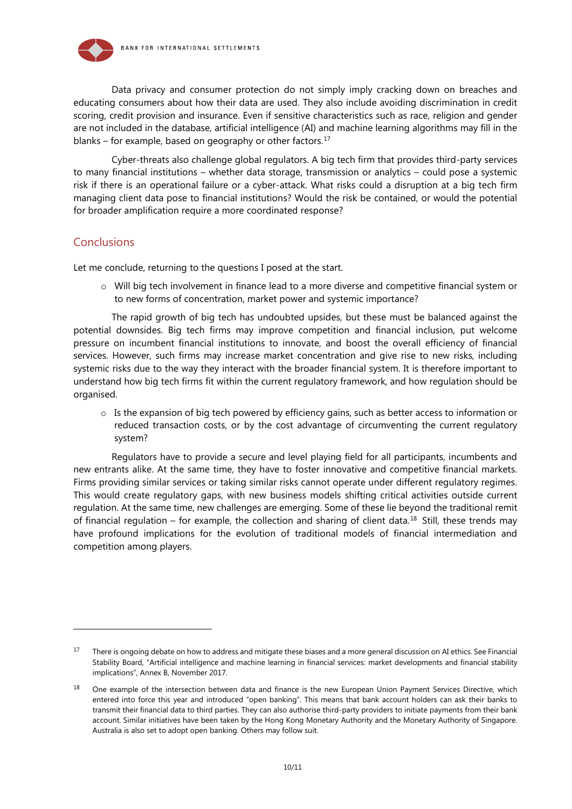

Data privacy and consumer protection do not simply imply cracking down on breaches and educating consumers about how their data are used. They also include avoiding discrimination in credit scoring, credit provision and insurance. Even if sensitive characteristics such as race, religion and gender are not included in the database, artificial intelligence (AI) and machine learning algorithms may fill in the blanks – for example, based on geography or other factors. $17$ 

Cyber-threats also challenge global regulators. A big tech firm that provides third-party services to many financial institutions – whether data storage, transmission or analytics – could pose a systemic risk if there is an operational failure or a cyber-attack. What risks could a disruption at a big tech firm managing client data pose to financial institutions? Would the risk be contained, or would the potential for broader amplification require a more coordinated response?

#### **Conclusions**

-

Let me conclude, returning to the questions I posed at the start.

o Will big tech involvement in finance lead to a more diverse and competitive financial system or to new forms of concentration, market power and systemic importance?

The rapid growth of big tech has undoubted upsides, but these must be balanced against the potential downsides. Big tech firms may improve competition and financial inclusion, put welcome pressure on incumbent financial institutions to innovate, and boost the overall efficiency of financial services. However, such firms may increase market concentration and give rise to new risks, including systemic risks due to the way they interact with the broader financial system. It is therefore important to understand how big tech firms fit within the current regulatory framework, and how regulation should be organised.

 $\circ$  Is the expansion of big tech powered by efficiency gains, such as better access to information or reduced transaction costs, or by the cost advantage of circumventing the current regulatory system?

Regulators have to provide a secure and level playing field for all participants, incumbents and new entrants alike. At the same time, they have to foster innovative and competitive financial markets. Firms providing similar services or taking similar risks cannot operate under different regulatory regimes. This would create regulatory gaps, with new business models shifting critical activities outside current regulation. At the same time, new challenges are emerging. Some of these lie beyond the traditional remit of financial regulation – for example, the collection and sharing of client data.<sup>[18](#page-9-1)</sup> Still, these trends may have profound implications for the evolution of traditional models of financial intermediation and competition among players.

<span id="page-9-0"></span><sup>&</sup>lt;sup>17</sup> There is ongoing debate on how to address and mitigate these biases and a more general discussion on AI ethics. See Financial Stability Board, ["Artificial intelligence and machine learning in financial services: market developments and financial stability](http://www.fsb.org/wp-content/uploads/P011117.pdf)  [implications"](http://www.fsb.org/wp-content/uploads/P011117.pdf), Annex B, November 2017.

<span id="page-9-1"></span><sup>&</sup>lt;sup>18</sup> One example of the intersection between data and finance is the new European Union Payment Services Directive, which entered into force this year and introduced "open banking". This means that bank account holders can ask their banks to transmit their financial data to third parties. They can also authorise third-party providers to initiate payments from their bank account. Similar initiatives have been taken by the Hong Kong Monetary Authority and the Monetary Authority of Singapore. Australia is also set to adopt open banking. Others may follow suit.